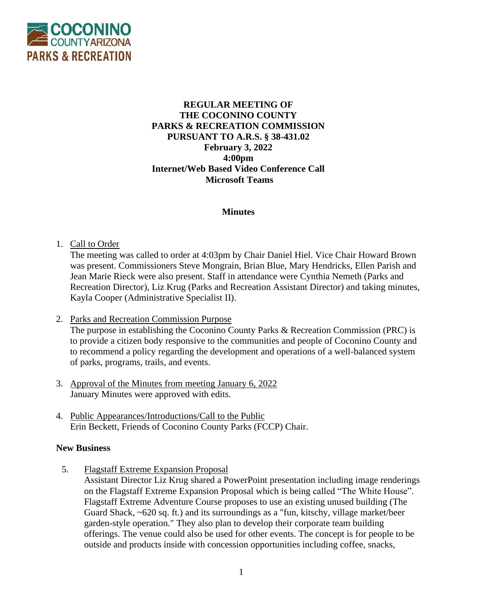

# **REGULAR MEETING OF THE COCONINO COUNTY PARKS & RECREATION COMMISSION PURSUANT TO A.R.S. § 38-431.02 February 3, 2022 4:00pm Internet/Web Based Video Conference Call Microsoft Teams**

## **Minutes**

## 1. Call to Order

The meeting was called to order at 4:03pm by Chair Daniel Hiel. Vice Chair Howard Brown was present. Commissioners Steve Mongrain, Brian Blue, Mary Hendricks, Ellen Parish and Jean Marie Rieck were also present. Staff in attendance were Cynthia Nemeth (Parks and Recreation Director), Liz Krug (Parks and Recreation Assistant Director) and taking minutes, Kayla Cooper (Administrative Specialist II).

2. Parks and Recreation Commission Purpose

The purpose in establishing the Coconino County Parks & Recreation Commission (PRC) is to provide a citizen body responsive to the communities and people of Coconino County and to recommend a policy regarding the development and operations of a well-balanced system of parks, programs, trails, and events.

- 3. Approval of the Minutes from meeting January 6, 2022 January Minutes were approved with edits.
- 4. Public Appearances/Introductions/Call to the Public Erin Beckett, Friends of Coconino County Parks (FCCP) Chair.

#### **New Business**

5. Flagstaff Extreme Expansion Proposal

Assistant Director Liz Krug shared a PowerPoint presentation including image renderings on the Flagstaff Extreme Expansion Proposal which is being called "The White House". Flagstaff Extreme Adventure Course proposes to use an existing unused building (The Guard Shack, ~620 sq. ft.) and its surroundings as a "fun, kitschy, village market/beer garden-style operation." They also plan to develop their corporate team building offerings. The venue could also be used for other events. The concept is for people to be outside and products inside with concession opportunities including coffee, snacks,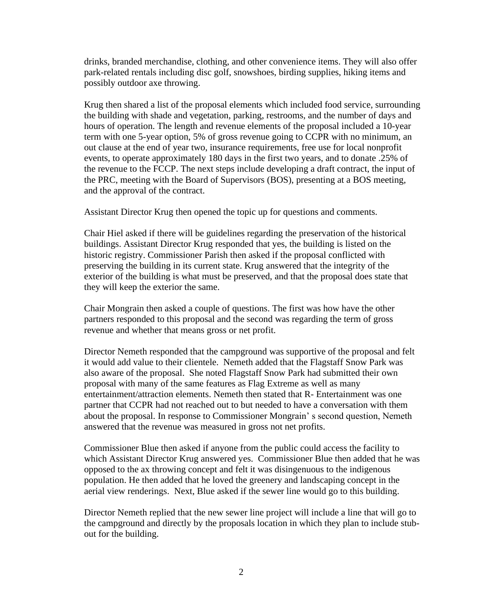drinks, branded merchandise, clothing, and other convenience items. They will also offer park-related rentals including disc golf, snowshoes, birding supplies, hiking items and possibly outdoor axe throwing.

Krug then shared a list of the proposal elements which included food service, surrounding the building with shade and vegetation, parking, restrooms, and the number of days and hours of operation. The length and revenue elements of the proposal included a 10-year term with one 5-year option, 5% of gross revenue going to CCPR with no minimum, an out clause at the end of year two, insurance requirements, free use for local nonprofit events, to operate approximately 180 days in the first two years, and to donate .25% of the revenue to the FCCP. The next steps include developing a draft contract, the input of the PRC, meeting with the Board of Supervisors (BOS), presenting at a BOS meeting, and the approval of the contract.

Assistant Director Krug then opened the topic up for questions and comments.

Chair Hiel asked if there will be guidelines regarding the preservation of the historical buildings. Assistant Director Krug responded that yes, the building is listed on the historic registry. Commissioner Parish then asked if the proposal conflicted with preserving the building in its current state. Krug answered that the integrity of the exterior of the building is what must be preserved, and that the proposal does state that they will keep the exterior the same.

Chair Mongrain then asked a couple of questions. The first was how have the other partners responded to this proposal and the second was regarding the term of gross revenue and whether that means gross or net profit.

Director Nemeth responded that the campground was supportive of the proposal and felt it would add value to their clientele. Nemeth added that the Flagstaff Snow Park was also aware of the proposal. She noted Flagstaff Snow Park had submitted their own proposal with many of the same features as Flag Extreme as well as many entertainment/attraction elements. Nemeth then stated that R- Entertainment was one partner that CCPR had not reached out to but needed to have a conversation with them about the proposal. In response to Commissioner Mongrain' s second question, Nemeth answered that the revenue was measured in gross not net profits.

Commissioner Blue then asked if anyone from the public could access the facility to which Assistant Director Krug answered yes. Commissioner Blue then added that he was opposed to the ax throwing concept and felt it was disingenuous to the indigenous population. He then added that he loved the greenery and landscaping concept in the aerial view renderings. Next, Blue asked if the sewer line would go to this building.

Director Nemeth replied that the new sewer line project will include a line that will go to the campground and directly by the proposals location in which they plan to include stubout for the building.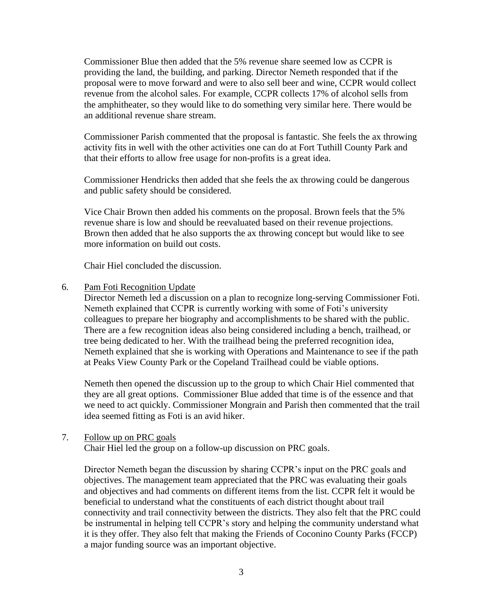Commissioner Blue then added that the 5% revenue share seemed low as CCPR is providing the land, the building, and parking. Director Nemeth responded that if the proposal were to move forward and were to also sell beer and wine, CCPR would collect revenue from the alcohol sales. For example, CCPR collects 17% of alcohol sells from the amphitheater, so they would like to do something very similar here. There would be an additional revenue share stream.

Commissioner Parish commented that the proposal is fantastic. She feels the ax throwing activity fits in well with the other activities one can do at Fort Tuthill County Park and that their efforts to allow free usage for non-profits is a great idea.

Commissioner Hendricks then added that she feels the ax throwing could be dangerous and public safety should be considered.

Vice Chair Brown then added his comments on the proposal. Brown feels that the 5% revenue share is low and should be reevaluated based on their revenue projections. Brown then added that he also supports the ax throwing concept but would like to see more information on build out costs.

Chair Hiel concluded the discussion.

#### 6. Pam Foti Recognition Update

Director Nemeth led a discussion on a plan to recognize long-serving Commissioner Foti. Nemeth explained that CCPR is currently working with some of Foti's university colleagues to prepare her biography and accomplishments to be shared with the public. There are a few recognition ideas also being considered including a bench, trailhead, or tree being dedicated to her. With the trailhead being the preferred recognition idea, Nemeth explained that she is working with Operations and Maintenance to see if the path at Peaks View County Park or the Copeland Trailhead could be viable options.

Nemeth then opened the discussion up to the group to which Chair Hiel commented that they are all great options. Commissioner Blue added that time is of the essence and that we need to act quickly. Commissioner Mongrain and Parish then commented that the trail idea seemed fitting as Foti is an avid hiker.

## 7. Follow up on PRC goals

Chair Hiel led the group on a follow-up discussion on PRC goals.

Director Nemeth began the discussion by sharing CCPR's input on the PRC goals and objectives. The management team appreciated that the PRC was evaluating their goals and objectives and had comments on different items from the list. CCPR felt it would be beneficial to understand what the constituents of each district thought about trail connectivity and trail connectivity between the districts. They also felt that the PRC could be instrumental in helping tell CCPR's story and helping the community understand what it is they offer. They also felt that making the Friends of Coconino County Parks (FCCP) a major funding source was an important objective.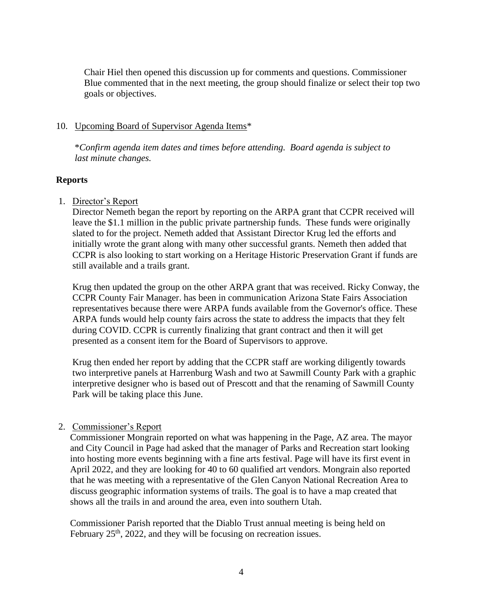Chair Hiel then opened this discussion up for comments and questions. Commissioner Blue commented that in the next meeting, the group should finalize or select their top two goals or objectives.

## 10. Upcoming Board of Supervisor Agenda Items\*

\**Confirm agenda item dates and times before attending. Board agenda is subject to last minute changes.*

# **Reports**

# 1. Director's Report

Director Nemeth began the report by reporting on the ARPA grant that CCPR received will leave the \$1.1 million in the public private partnership funds. These funds were originally slated to for the project. Nemeth added that Assistant Director Krug led the efforts and initially wrote the grant along with many other successful grants. Nemeth then added that CCPR is also looking to start working on a Heritage Historic Preservation Grant if funds are still available and a trails grant.

Krug then updated the group on the other ARPA grant that was received. Ricky Conway, the CCPR County Fair Manager. has been in communication Arizona State Fairs Association representatives because there were ARPA funds available from the Governor's office. These ARPA funds would help county fairs across the state to address the impacts that they felt during COVID. CCPR is currently finalizing that grant contract and then it will get presented as a consent item for the Board of Supervisors to approve.

Krug then ended her report by adding that the CCPR staff are working diligently towards two interpretive panels at Harrenburg Wash and two at Sawmill County Park with a graphic interpretive designer who is based out of Prescott and that the renaming of Sawmill County Park will be taking place this June.

## 2. Commissioner's Report

Commissioner Mongrain reported on what was happening in the Page, AZ area. The mayor and City Council in Page had asked that the manager of Parks and Recreation start looking into hosting more events beginning with a fine arts festival. Page will have its first event in April 2022, and they are looking for 40 to 60 qualified art vendors. Mongrain also reported that he was meeting with a representative of the Glen Canyon National Recreation Area to discuss geographic information systems of trails. The goal is to have a map created that shows all the trails in and around the area, even into southern Utah.

Commissioner Parish reported that the Diablo Trust annual meeting is being held on February 25<sup>th</sup>, 2022, and they will be focusing on recreation issues.